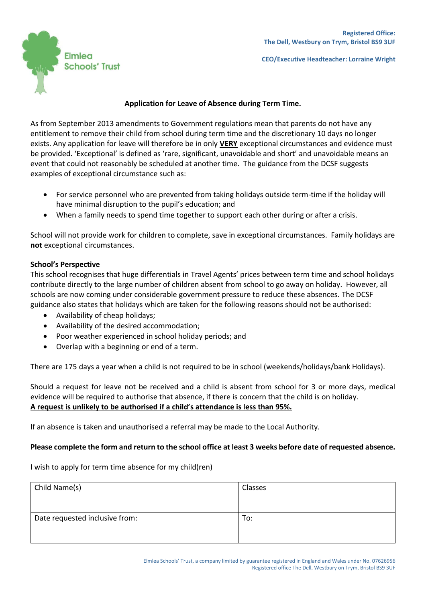

**CEO/Executive Headteacher: Lorraine Wright**

## **Application for Leave of Absence during Term Time.**

As from September 2013 amendments to Government regulations mean that parents do not have any entitlement to remove their child from school during term time and the discretionary 10 days no longer exists. Any application for leave will therefore be in only **VERY** exceptional circumstances and evidence must be provided. 'Exceptional' is defined as 'rare, significant, unavoidable and short' and unavoidable means an event that could not reasonably be scheduled at another time. The guidance from the DCSF suggests examples of exceptional circumstance such as:

- For service personnel who are prevented from taking holidays outside term-time if the holiday will have minimal disruption to the pupil's education; and
- When a family needs to spend time together to support each other during or after a crisis.

School will not provide work for children to complete, save in exceptional circumstances. Family holidays are **not** exceptional circumstances.

## **School's Perspective**

This school recognises that huge differentials in Travel Agents' prices between term time and school holidays contribute directly to the large number of children absent from school to go away on holiday. However, all schools are now coming under considerable government pressure to reduce these absences. The DCSF guidance also states that holidays which are taken for the following reasons should not be authorised:

- Availability of cheap holidays;
- Availability of the desired accommodation;
- Poor weather experienced in school holiday periods; and
- Overlap with a beginning or end of a term.

There are 175 days a year when a child is not required to be in school (weekends/holidays/bank Holidays).

Should a request for leave not be received and a child is absent from school for 3 or more days, medical evidence will be required to authorise that absence, if there is concern that the child is on holiday. **A request is unlikely to be authorised if a child's attendance is less than 95%.**

If an absence is taken and unauthorised a referral may be made to the Local Authority.

## **Please complete the form and return to the school office at least 3 weeks before date of requested absence.**

I wish to apply for term time absence for my child(ren)

| Child Name(s)                  | Classes |
|--------------------------------|---------|
| Date requested inclusive from: | To:     |